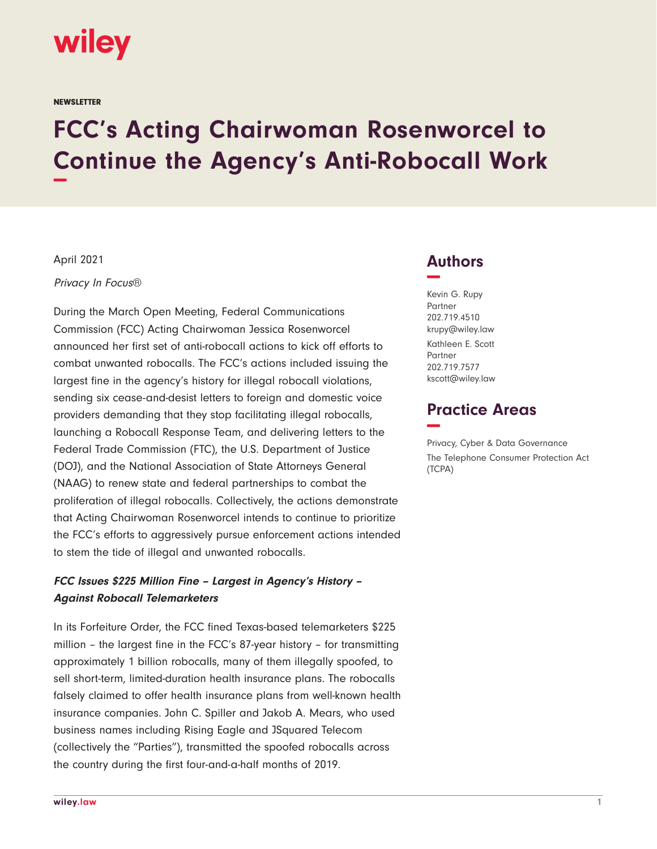# wiley

**NEWSLETTER** 

# **FCC's Acting Chairwoman Rosenworcel to Continue the Agency's Anti-Robocall Work −**

April 2021

Privacy In Focus®

During the March Open Meeting, Federal Communications Commission (FCC) Acting Chairwoman Jessica Rosenworcel announced her first set of anti-robocall actions to kick off efforts to combat unwanted robocalls. The FCC's actions included issuing the largest fine in the agency's history for illegal robocall violations, sending six cease-and-desist letters to foreign and domestic voice providers demanding that they stop facilitating illegal robocalls, launching a Robocall Response Team, and delivering letters to the Federal Trade Commission (FTC), the U.S. Department of Justice (DOJ), and the National Association of State Attorneys General (NAAG) to renew state and federal partnerships to combat the proliferation of illegal robocalls. Collectively, the actions demonstrate that Acting Chairwoman Rosenworcel intends to continue to prioritize the FCC's efforts to aggressively pursue enforcement actions intended to stem the tide of illegal and unwanted robocalls.

# **FCC Issues \$225 Million Fine – Largest in Agency's History – Against Robocall Telemarketers**

In its Forfeiture Order, the FCC fined Texas-based telemarketers \$225 million – the largest fine in the FCC's 87-year history – for transmitting approximately 1 billion robocalls, many of them illegally spoofed, to sell short-term, limited-duration health insurance plans. The robocalls falsely claimed to offer health insurance plans from well-known health insurance companies. John C. Spiller and Jakob A. Mears, who used business names including Rising Eagle and JSquared Telecom (collectively the "Parties"), transmitted the spoofed robocalls across the country during the first four-and-a-half months of 2019.

## **Authors −**

Kevin G. Rupy Partner 202.719.4510 krupy@wiley.law Kathleen E. Scott Partner 202.719.7577 kscott@wiley.law

# **Practice Areas −**

Privacy, Cyber & Data Governance The Telephone Consumer Protection Act (TCPA)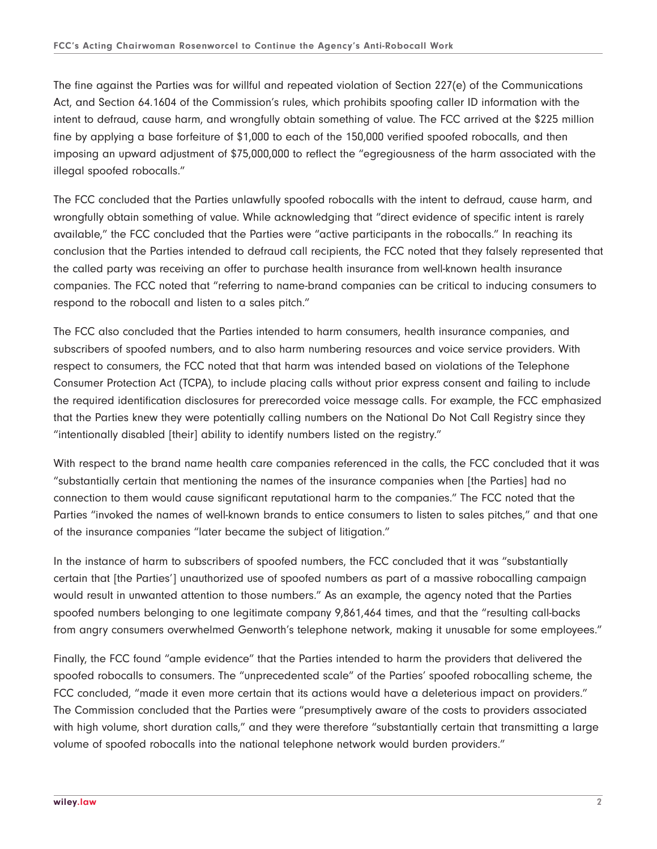The fine against the Parties was for willful and repeated violation of Section 227(e) of the Communications Act, and Section 64.1604 of the Commission's rules, which prohibits spoofing caller ID information with the intent to defraud, cause harm, and wrongfully obtain something of value. The FCC arrived at the \$225 million fine by applying a base forfeiture of \$1,000 to each of the 150,000 verified spoofed robocalls, and then imposing an upward adjustment of \$75,000,000 to reflect the "egregiousness of the harm associated with the illegal spoofed robocalls."

The FCC concluded that the Parties unlawfully spoofed robocalls with the intent to defraud, cause harm, and wrongfully obtain something of value. While acknowledging that "direct evidence of specific intent is rarely available," the FCC concluded that the Parties were "active participants in the robocalls." In reaching its conclusion that the Parties intended to defraud call recipients, the FCC noted that they falsely represented that the called party was receiving an offer to purchase health insurance from well-known health insurance companies. The FCC noted that "referring to name-brand companies can be critical to inducing consumers to respond to the robocall and listen to a sales pitch."

The FCC also concluded that the Parties intended to harm consumers, health insurance companies, and subscribers of spoofed numbers, and to also harm numbering resources and voice service providers. With respect to consumers, the FCC noted that that harm was intended based on violations of the Telephone Consumer Protection Act (TCPA), to include placing calls without prior express consent and failing to include the required identification disclosures for prerecorded voice message calls. For example, the FCC emphasized that the Parties knew they were potentially calling numbers on the National Do Not Call Registry since they "intentionally disabled [their] ability to identify numbers listed on the registry."

With respect to the brand name health care companies referenced in the calls, the FCC concluded that it was "substantially certain that mentioning the names of the insurance companies when [the Parties] had no connection to them would cause significant reputational harm to the companies." The FCC noted that the Parties "invoked the names of well-known brands to entice consumers to listen to sales pitches," and that one of the insurance companies "later became the subject of litigation."

In the instance of harm to subscribers of spoofed numbers, the FCC concluded that it was "substantially certain that [the Parties'] unauthorized use of spoofed numbers as part of a massive robocalling campaign would result in unwanted attention to those numbers." As an example, the agency noted that the Parties spoofed numbers belonging to one legitimate company 9,861,464 times, and that the "resulting call-backs from angry consumers overwhelmed Genworth's telephone network, making it unusable for some employees."

Finally, the FCC found "ample evidence" that the Parties intended to harm the providers that delivered the spoofed robocalls to consumers. The "unprecedented scale" of the Parties' spoofed robocalling scheme, the FCC concluded, "made it even more certain that its actions would have a deleterious impact on providers." The Commission concluded that the Parties were "presumptively aware of the costs to providers associated with high volume, short duration calls," and they were therefore "substantially certain that transmitting a large volume of spoofed robocalls into the national telephone network would burden providers."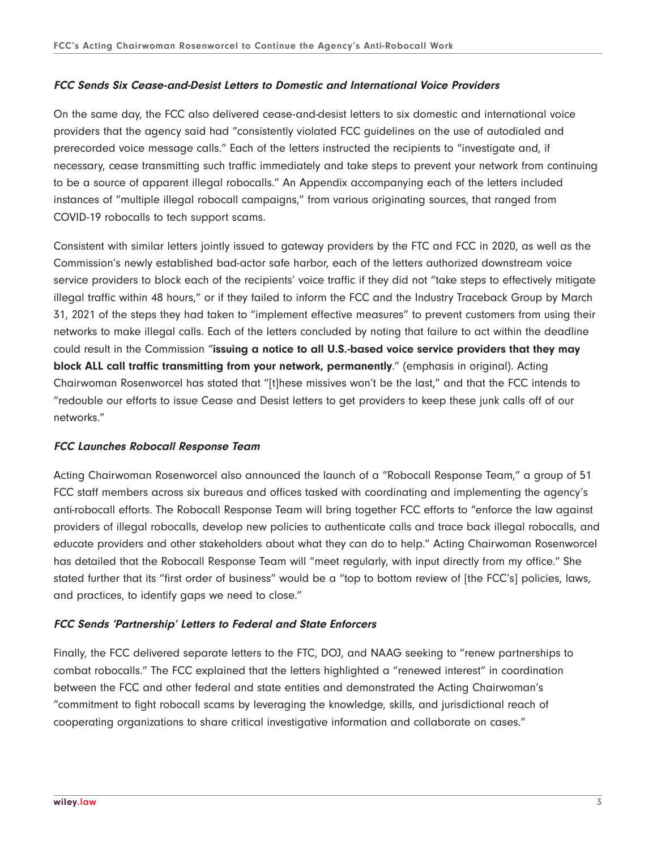#### **FCC Sends Six Cease-and-Desist Letters to Domestic and International Voice Providers**

On the same day, the FCC also delivered cease-and-desist letters to six domestic and international voice providers that the agency said had "consistently violated FCC guidelines on the use of autodialed and prerecorded voice message calls." Each of the letters instructed the recipients to "investigate and, if necessary, cease transmitting such traffic immediately and take steps to prevent your network from continuing to be a source of apparent illegal robocalls." An Appendix accompanying each of the letters included instances of "multiple illegal robocall campaigns," from various originating sources, that ranged from COVID-19 robocalls to tech support scams.

Consistent with similar letters jointly issued to gateway providers by the FTC and FCC in 2020, as well as the Commission's newly established bad-actor safe harbor, each of the letters authorized downstream voice service providers to block each of the recipients' voice traffic if they did not "take steps to effectively mitigate illegal traffic within 48 hours," or if they failed to inform the FCC and the Industry Traceback Group by March 31, 2021 of the steps they had taken to "implement effective measures" to prevent customers from using their networks to make illegal calls. Each of the letters concluded by noting that failure to act within the deadline could result in the Commission "**issuing a notice to all U.S.-based voice service providers that they may block ALL call traffic transmitting from your network, permanently**." (emphasis in original). Acting Chairwoman Rosenworcel has stated that "[t]hese missives won't be the last," and that the FCC intends to "redouble our efforts to issue Cease and Desist letters to get providers to keep these junk calls off of our networks."

#### **FCC Launches Robocall Response Team**

Acting Chairwoman Rosenworcel also announced the launch of a "Robocall Response Team," a group of 51 FCC staff members across six bureaus and offices tasked with coordinating and implementing the agency's anti-robocall efforts. The Robocall Response Team will bring together FCC efforts to "enforce the law against providers of illegal robocalls, develop new policies to authenticate calls and trace back illegal robocalls, and educate providers and other stakeholders about what they can do to help." Acting Chairwoman Rosenworcel has detailed that the Robocall Response Team will "meet regularly, with input directly from my office." She stated further that its "first order of business" would be a "top to bottom review of [the FCC's] policies, laws, and practices, to identify gaps we need to close."

#### **FCC Sends 'Partnership' Letters to Federal and State Enforcers**

Finally, the FCC delivered separate letters to the FTC, DOJ, and NAAG seeking to "renew partnerships to combat robocalls." The FCC explained that the letters highlighted a "renewed interest" in coordination between the FCC and other federal and state entities and demonstrated the Acting Chairwoman's "commitment to fight robocall scams by leveraging the knowledge, skills, and jurisdictional reach of cooperating organizations to share critical investigative information and collaborate on cases."